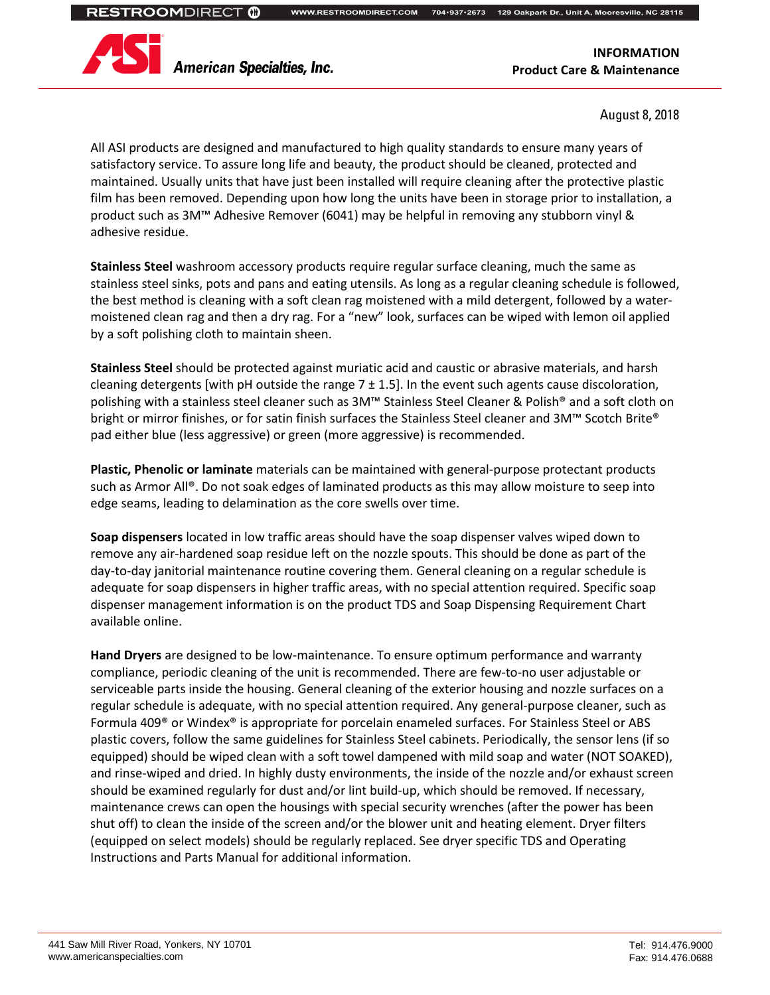**WWW.RESTROOMDIRECT.COM 704 704••937 937••2673 129 Oakpark Dr., Unit A, Mooresville, NC 28115 2673** 



**American Specialties, Inc.** 

**INFORMATION Product Care & Maintenance**

August 8, 2018

All ASI products are designed and manufactured to high quality standards to ensure many years of satisfactory service. To assure long life and beauty, the product should be cleaned, protected and maintained. Usually units that have just been installed will require cleaning after the protective plastic film has been removed. Depending upon how long the units have been in storage prior to installation, a product such as 3M™ Adhesive Remover (6041) may be helpful in removing any stubborn vinyl & adhesive residue.

**Stainless Steel** washroom accessory products require regular surface cleaning, much the same as stainless steel sinks, pots and pans and eating utensils. As long as a regular cleaning schedule is followed, the best method is cleaning with a soft clean rag moistened with a mild detergent, followed by a watermoistened clean rag and then a dry rag. For a "new" look, surfaces can be wiped with lemon oil applied by a soft polishing cloth to maintain sheen.

**Stainless Steel** should be protected against muriatic acid and caustic or abrasive materials, and harsh cleaning detergents [with pH outside the range  $7 \pm 1.5$ ]. In the event such agents cause discoloration, polishing with a stainless steel cleaner such as 3M™ Stainless Steel Cleaner & Polish® and a soft cloth on bright or mirror finishes, or for satin finish surfaces the Stainless Steel cleaner and 3M™ Scotch Brite® pad either blue (less aggressive) or green (more aggressive) is recommended.

**Plastic, Phenolic or laminate** materials can be maintained with general-purpose protectant products such as Armor All<sup>®</sup>. Do not soak edges of laminated products as this may allow moisture to seep into edge seams, leading to delamination as the core swells over time.

**Soap dispensers** located in low traffic areas should have the soap dispenser valves wiped down to remove any air-hardened soap residue left on the nozzle spouts. This should be done as part of the day-to-day janitorial maintenance routine covering them. General cleaning on a regular schedule is adequate for soap dispensers in higher traffic areas, with no special attention required. Specific soap dispenser management information is on the product TDS and Soap Dispensing Requirement Chart available online.

**Hand Dryers** are designed to be low-maintenance. To ensure optimum performance and warranty compliance, periodic cleaning of the unit is recommended. There are few-to-no user adjustable or serviceable parts inside the housing. General cleaning of the exterior housing and nozzle surfaces on a regular schedule is adequate, with no special attention required. Any general-purpose cleaner, such as Formula 409® or Windex® is appropriate for porcelain enameled surfaces. For Stainless Steel or ABS plastic covers, follow the same guidelines for Stainless Steel cabinets. Periodically, the sensor lens (if so equipped) should be wiped clean with a soft towel dampened with mild soap and water (NOT SOAKED), and rinse-wiped and dried. In highly dusty environments, the inside of the nozzle and/or exhaust screen should be examined regularly for dust and/or lint build-up, which should be removed. If necessary, maintenance crews can open the housings with special security wrenches (after the power has been shut off) to clean the inside of the screen and/or the blower unit and heating element. Dryer filters (equipped on select models) should be regularly replaced. See dryer specific TDS and Operating Instructions and Parts Manual for additional information.